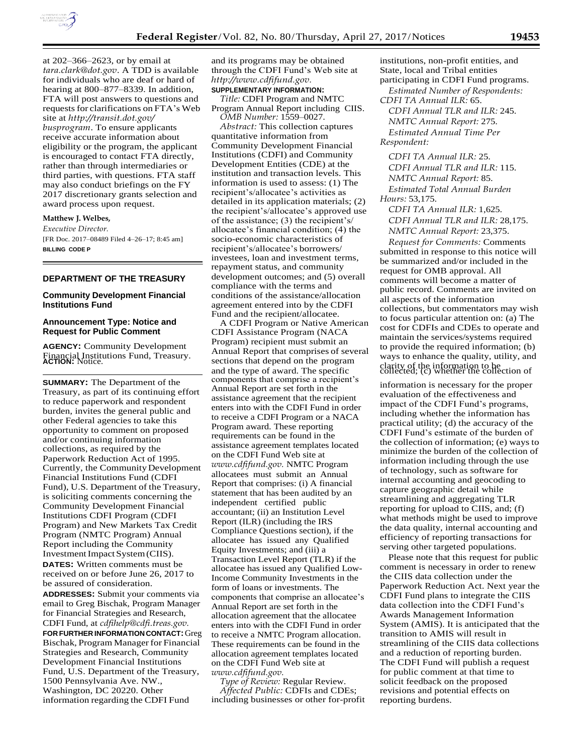

at 202–366–2623, or by email at *[tara.clark@dot.gov](mailto:tara.clark@dot.gov)*. A TDD is available for individuals who are deaf or hard of hearing at 800–877–8339. In addition, FTA will post answers to questions and requests for clarifications on FTA's Web site at *[http://transit.dot.gov/](http://transit.dot.gov/busprogram) [busprogram](http://transit.dot.gov/busprogram)*. To ensure applicants receive accurate information about eligibility or the program, the applicant is encouraged to contact FTA directly, rather than through intermediaries or third parties, with questions. FTA staff may also conduct briefings on the FY 2017 discretionary grants selection and award process upon request.

#### **Matthew J. Welbes,**

*Executive Director.*  [FR Doc. 2017-08489 Filed 4-26-17; 8:45 am] **BILLING CODE P** 

#### **DEPARTMENT OF THE TREASURY**

### **Community Development Financial Institutions Fund**

### **Announcement Type: Notice and Request for Public Comment**

**AGENCY:** Community Development Financial Institutions Fund, Treasury. **ACTION:** Notice.

**SUMMARY:** The Department of the Treasury, as part of its continuing effort to reduce paperwork and respondent burden, invites the general public and other Federal agencies to take this opportunity to comment on proposed and/or continuing information collections, as required by the Paperwork Reduction Act of 1995. Currently, the Community Development Financial Institutions Fund (CDFI Fund), U.S. Department of the Treasury, is soliciting comments concerning the Community Development Financial Institutions CDFI Program (CDFI Program) and New Markets Tax Credit Program (NMTC Program) Annual Report including the Community Investment Impact System (CIIS).

**DATES:** Written comments must be received on or before June 26, 2017 to be assured of consideration.

**ADDRESSES:** Submit your comments via email to Greg Bischak, Program Manager for Financial Strategies and Research, CDFI Fund, at *[cdfihelp@cdfi.treas.gov.](mailto:cdfihelp@cdfi.treas.gov)* **FOR FURTHER INFORMATION CONTACT:** Greg Bischak, Program Manager for Financial Strategies and Research, Community Development Financial Institutions Fund, U.S. Department of the Treasury, 1500 Pennsylvania Ave. NW., Washington, DC 20220. Other information regarding the CDFI Fund

and its programs may be obtained through the CDFI Fund's Web site at *[http://www.cdfifund.gov.](http://www.cdfifund.gov/)*

#### **SUPPLEMENTARY INFORMATION:**

*Title:* CDFI Program and NMTC Program Annual Report including CIIS. *OMB Number:* 1559–0027.

*Abstract:* This collection captures quantitative information from Community Development Financial Institutions (CDFI) and Community Development Entities (CDE) at the institution and transaction levels. This information is used to assess: (1) The recipient's/allocatee's activities as detailed in its application materials; (2) the recipient's/allocatee's approved use of the assistance; (3) the recipient's/ allocatee's financial condition; (4) the socio-economic characteristics of recipient's/allocatee's borrowers/ investees, loan and investment terms, repayment status, and community development outcomes; and (5) overall compliance with the terms and conditions of the assistance/allocation agreement entered into by the CDFI Fund and the recipient/allocatee.

A CDFI Program or Native American CDFI Assistance Program (NACA Program) recipient must submit an Annual Report that comprises of several sections that depend on the program sections that depend on the program<br>and the type of award. The specific collected; (c) whether the collection of components that comprise a recipient's Annual Report are set forth in the assistance agreement that the recipient enters into with the CDFI Fund in order to receive a CDFI Program or a NACA Program award. These reporting requirements can be found in the assistance agreement templates located on the CDFI Fund Web site at *[www.cdfifund.gov.](http://www.cdfifund.gov/)* NMTC Program allocatees must submit an Annual Report that comprises: (i) A financial statement that has been audited by an independent certified public accountant; (ii) an Institution Level Report (ILR) (including the IRS Compliance Questions section), if the allocatee has issued any Qualified Equity Investments; and (iii) a Transaction Level Report (TLR) if the allocatee has issued any Qualified Low-Income Community Investments in the form of loans or investments. The components that comprise an allocatee's Annual Report are set forth in the allocation agreement that the allocatee enters into with the CDFI Fund in order to receive a NMTC Program allocation. These requirements can be found in the allocation agreement templates located on the CDFI Fund Web site at *[www.cdfifund.gov.](http://www.cdfifund.gov/)*

*Type of Review:* Regular Review. *Affected Public:* CDFIs and CDEs; including businesses or other for-profit institutions, non-profit entities, and State, local and Tribal entities participating in CDFI Fund programs.

*Estimated Number of Respondents: CDFI TA Annual ILR:* 65.

*CDFI Annual TLR and ILR:* 245. *NMTC Annual Report:* 275. *Estimated Annual Time Per Respondent:* 

*CDFI TA Annual ILR:* 25. *CDFI Annual TLR and ILR:* 115. *NMTC Annual Report:* 85. *Estimated Total Annual Burden* 

*Hours:* 53,175.

*CDFI TA Annual ILR:* 1,625. *CDFI Annual TLR and ILR:* 28,175. *NMTC Annual Report:* 23,375.

*Request for Comments:* Comments submitted in response to this notice will be summarized and/or included in the request for OMB approval. All comments will become a matter of public record. Comments are invited on all aspects of the information collections, but commentators may wish to focus particular attention on: (a) The cost for CDFIs and CDEs to operate and maintain the services/systems required to provide the required information; (b) ways to enhance the quality, utility, and

information is necessary for the proper evaluation of the effectiveness and impact of the CDFI Fund's programs, including whether the information has practical utility; (d) the accuracy of the CDFI Fund's estimate of the burden of the collection of information; (e) ways to minimize the burden of the collection of information including through the use of technology, such as software for internal accounting and geocoding to capture geographic detail while streamlining and aggregating TLR reporting for upload to CIIS, and; (f) what methods might be used to improve the data quality, internal accounting and efficiency of reporting transactions for serving other targeted populations.

Please note that this request for public comment is necessary in order to renew the CIIS data collection under the Paperwork Reduction Act. Next year the CDFI Fund plans to integrate the CIIS data collection into the CDFI Fund's Awards Management Information System (AMIS). It is anticipated that the transition to AMIS will result in streamlining of the CIIS data collections and a reduction of reporting burden. The CDFI Fund will publish a request for public comment at that time to solicit feedback on the proposed revisions and potential effects on reporting burdens.